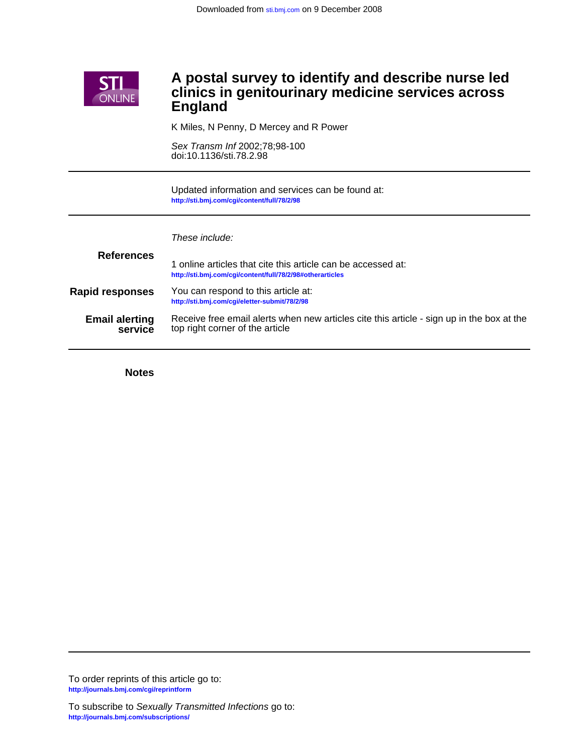

## **England clinics in genitourinary medicine services across A postal survey to identify and describe nurse led**

K Miles, N Penny, D Mercey and R Power

doi:10.1136/sti.78.2.98 Sex Transm Inf 2002;78;98-100

**<http://sti.bmj.com/cgi/content/full/78/2/98>** Updated information and services can be found at:

These include:

| <b>References</b>                | 1 online articles that cite this article can be accessed at:<br>http://sti.bmj.com/cgi/content/full/78/2/98#otherarticles    |
|----------------------------------|------------------------------------------------------------------------------------------------------------------------------|
| <b>Rapid responses</b>           | You can respond to this article at:<br>http://sti.bmj.com/cgi/eletter-submit/78/2/98                                         |
| <b>Email alerting</b><br>service | Receive free email alerts when new articles cite this article - sign up in the box at the<br>top right corner of the article |

**Notes**

**<http://journals.bmj.com/cgi/reprintform>** To order reprints of this article go to: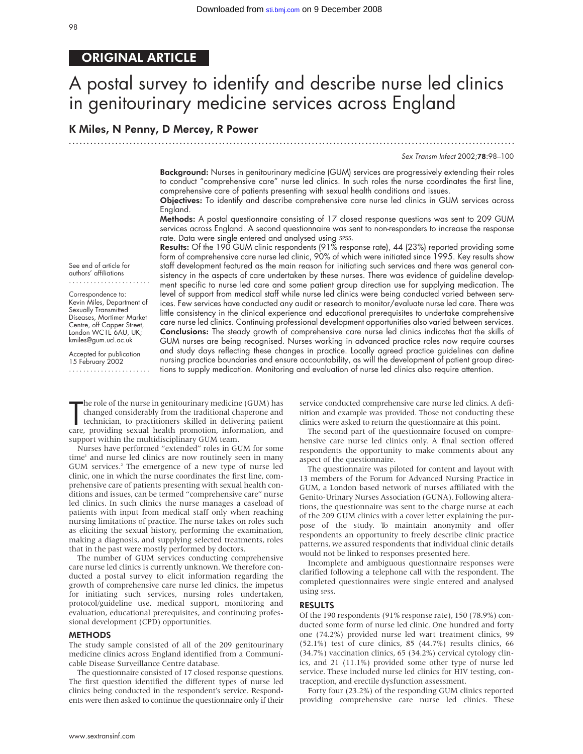## ORIGINAL ARTICLE

# A postal survey to identify and describe nurse led clinics in genitourinary medicine services across England

.............................................................................................................................

### K Miles, N Penny, D Mercey, R Power

Sex Transm Infect 2002;78:98–100

Background: Nurses in genitourinary medicine (GUM) services are progressively extending their roles to conduct "comprehensive care" nurse led clinics. In such roles the nurse coordinates the first line, comprehensive care of patients presenting with sexual health conditions and issues.

Objectives: To identify and describe comprehensive care nurse led clinics in GUM services across England.

Methods: A postal questionnaire consisting of 17 closed response questions was sent to 209 GUM services across England. A second questionnaire was sent to non-responders to increase the response rate. Data were single entered and analysed using SPSS.

Results: Of the 190 GUM clinic respondents (91% response rate), 44 (23%) reported providing some form of comprehensive care nurse led clinic, 90% of which were initiated since 1995. Key results show staff development featured as the main reason for initiating such services and there was general consistency in the aspects of care undertaken by these nurses. There was evidence of guideline development specific to nurse led care and some patient group direction use for supplying medication. The level of support from medical staff while nurse led clinics were being conducted varied between services. Few services have conducted any audit or research to monitor/evaluate nurse led care. There was little consistency in the clinical experience and educational prerequisites to undertake comprehensive care nurse led clinics. Continuing professional development opportunities also varied between services. Conclusions: The steady growth of comprehensive care nurse led clinics indicates that the skills of GUM nurses are being recognised. Nurses working in advanced practice roles now require courses and study days reflecting these changes in practice. Locally agreed practice guidelines can define nursing practice boundaries and ensure accountability, as will the development of patient group directions to supply medication. Monitoring and evaluation of nurse led clinics also require attention.

See end of article for authors' affiliations .......................

Correspondence to: Kevin Miles, Department of Sexually Transmitted Diseases, Mortimer Market Centre, off Capper Street, London WC1E 6AU, UK; kmiles@gum.ucl.ac.uk

Accepted for publication 15 February 2002

The role of the nurse in genitourinary medicine (GUM) has<br>changed considerably from the traditional chaperone and<br>technician, to practitioners skilled in delivering patient<br>care, providing sexual health promotion, informat he role of the nurse in genitourinary medicine (GUM) has changed considerably from the traditional chaperone and technician, to practitioners skilled in delivering patient support within the multidisciplinary GUM team.

Nurses have performed "extended" roles in GUM for some time<sup>1</sup> and nurse led clinics are now routinely seen in many GUM services.2 The emergence of a new type of nurse led clinic, one in which the nurse coordinates the first line, comprehensive care of patients presenting with sexual health conditions and issues, can be termed "comprehensive care" nurse led clinics. In such clinics the nurse manages a caseload of patients with input from medical staff only when reaching nursing limitations of practice. The nurse takes on roles such as eliciting the sexual history, performing the examination, making a diagnosis, and supplying selected treatments, roles that in the past were mostly performed by doctors.

The number of GUM services conducting comprehensive care nurse led clinics is currently unknown. We therefore conducted a postal survey to elicit information regarding the growth of comprehensive care nurse led clinics, the impetus for initiating such services, nursing roles undertaken, protocol/guideline use, medical support, monitoring and evaluation, educational prerequisites, and continuing professional development (CPD) opportunities.

#### **METHODS**

The study sample consisted of all of the 209 genitourinary medicine clinics across England identified from a Communicable Disease Surveillance Centre database.

The questionnaire consisted of 17 closed response questions. The first question identified the different types of nurse led clinics being conducted in the respondent's service. Respondents were then asked to continue the questionnaire only if their service conducted comprehensive care nurse led clinics. A definition and example was provided. Those not conducting these clinics were asked to return the questionnaire at this point.

The second part of the questionnaire focused on comprehensive care nurse led clinics only. A final section offered respondents the opportunity to make comments about any aspect of the questionnaire.

The questionnaire was piloted for content and layout with 13 members of the Forum for Advanced Nursing Practice in GUM, a London based network of nurses affiliated with the Genito-Urinary Nurses Association (GUNA). Following alterations, the questionnaire was sent to the charge nurse at each of the 209 GUM clinics with a cover letter explaining the purpose of the study. To maintain anonymity and offer respondents an opportunity to freely describe clinic practice patterns, we assured respondents that individual clinic details would not be linked to responses presented here.

Incomplete and ambiguous questionnaire responses were clarified following a telephone call with the respondent. The completed questionnaires were single entered and analysed using spss.

#### RESULTS

Of the 190 respondents (91% response rate), 150 (78.9%) conducted some form of nurse led clinic. One hundred and forty one (74.2%) provided nurse led wart treatment clinics, 99 (52.1%) test of cure clinics, 85 (44.7%) results clinics, 66 (34.7%) vaccination clinics, 65 (34.2%) cervical cytology clinics, and 21 (11.1%) provided some other type of nurse led service. These included nurse led clinics for HIV testing, contraception, and erectile dysfunction assessment.

Forty four (23.2%) of the responding GUM clinics reported providing comprehensive care nurse led clinics. These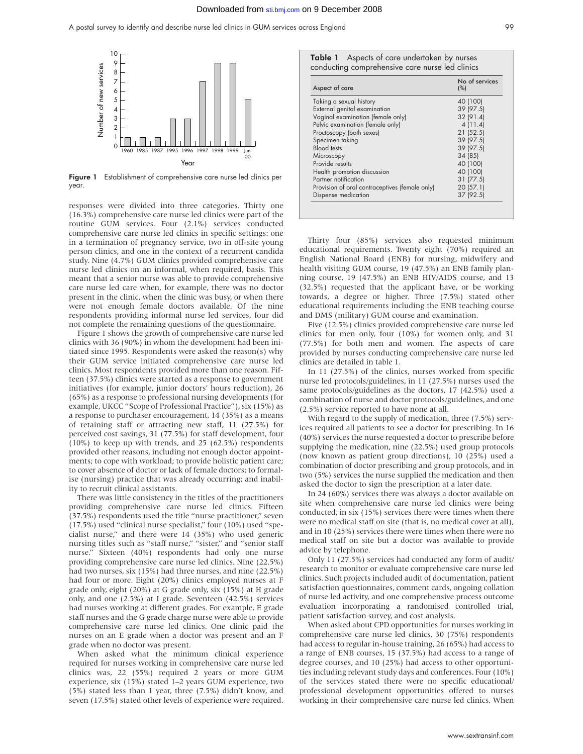

Figure 1 Establishment of comprehensive care nurse led clinics per year.

responses were divided into three categories. Thirty one (16.3%) comprehensive care nurse led clinics were part of the routine GUM services. Four (2.1%) services conducted comprehensive care nurse led clinics in specific settings: one in a termination of pregnancy service, two in off-site young person clinics, and one in the context of a recurrent candida study. Nine (4.7%) GUM clinics provided comprehensive care nurse led clinics on an informal, when required, basis. This meant that a senior nurse was able to provide comprehensive care nurse led care when, for example, there was no doctor present in the clinic, when the clinic was busy, or when there were not enough female doctors available. Of the nine respondents providing informal nurse led services, four did not complete the remaining questions of the questionnaire.

Figure 1 shows the growth of comprehensive care nurse led clinics with 36 (90%) in whom the development had been initiated since 1995. Respondents were asked the reason(s) why their GUM service initiated comprehensive care nurse led clinics. Most respondents provided more than one reason. Fifteen (37.5%) clinics were started as a response to government initiatives (for example, junior doctors' hours reduction), 26 (65%) as a response to professional nursing developments (for example, UKCC "Scope of Professional Practice"), six (15%) as a response to purchaser encouragement, 14 (35%) as a means of retaining staff or attracting new staff, 11 (27.5%) for perceived cost savings, 31 (77.5%) for staff development, four (10%) to keep up with trends, and 25 (62.5%) respondents provided other reasons, including not enough doctor appointments; to cope with workload; to provide holistic patient care; to cover absence of doctor or lack of female doctors; to formalise (nursing) practice that was already occurring; and inability to recruit clinical assistants.

There was little consistency in the titles of the practitioners providing comprehensive care nurse led clinics. Fifteen (37.5%) respondents used the title "nurse practitioner," seven (17.5%) used "clinical nurse specialist," four (10%) used "specialist nurse," and there were 14 (35%) who used generic nursing titles such as "staff nurse," "sister," and "senior staff nurse." Sixteen (40%) respondents had only one nurse providing comprehensive care nurse led clinics. Nine (22.5%) had two nurses, six (15%) had three nurses, and nine (22.5%) had four or more. Eight (20%) clinics employed nurses at F grade only, eight (20%) at G grade only, six (15%) at H grade only, and one (2.5%) at I grade. Seventeen (42.5%) services had nurses working at different grades. For example, E grade staff nurses and the G grade charge nurse were able to provide comprehensive care nurse led clinics. One clinic paid the nurses on an E grade when a doctor was present and an F grade when no doctor was present.

When asked what the minimum clinical experience required for nurses working in comprehensive care nurse led clinics was, 22 (55%) required 2 years or more GUM experience, six (15%) stated 1–2 years GUM experience, two (5%) stated less than 1 year, three (7.5%) didn't know, and seven (17.5%) stated other levels of experience were required.

| Table 1 Aspects of care undertaken by nurses<br>conducting comprehensive care nurse led clinics |                       |  |
|-------------------------------------------------------------------------------------------------|-----------------------|--|
| Aspect of care                                                                                  | No of services<br>(%) |  |
| Taking a sexual history                                                                         | 40 (100)              |  |
| External genital examination                                                                    | 39 (97.5)             |  |
| Vaginal examination (female only)                                                               | 32 (91.4)             |  |
| Pelvic examination (female only)                                                                | 4(11.4)               |  |
| Proctoscopy (both sexes)                                                                        | 21(52.5)              |  |
| Specimen taking                                                                                 | 39 (97.5)             |  |
| <b>Blood</b> tests                                                                              | 39 (97.5)             |  |
| Microscopy                                                                                      | 34 (85)               |  |
| Provide results                                                                                 | 40 (100)              |  |
| Health promotion discussion                                                                     | 40 (100)              |  |
| Partner notification                                                                            | 31(77.5)              |  |
| Provision of oral contraceptives (female only)                                                  | 20(57.1)              |  |
| Dispense medication                                                                             | 37 (92.5)             |  |

Thirty four (85%) services also requested minimum educational requirements. Twenty eight (70%) required an English National Board (ENB) for nursing, midwifery and health visiting GUM course, 19 (47.5%) an ENB family planning course, 19 (47.5%) an ENB HIV/AIDS course, and 13 (32.5%) requested that the applicant have, or be working towards, a degree or higher. Three (7.5%) stated other educational requirements including the ENB teaching course and DMS (military) GUM course and examination.

Five (12.5%) clinics provided comprehensive care nurse led clinics for men only, four (10%) for women only, and 31 (77.5%) for both men and women. The aspects of care provided by nurses conducting comprehensive care nurse led clinics are detailed in table 1.

In 11 (27.5%) of the clinics, nurses worked from specific nurse led protocols/guidelines, in 11 (27.5%) nurses used the same protocols/guidelines as the doctors, 17 (42.5%) used a combination of nurse and doctor protocols/guidelines, and one (2.5%) service reported to have none at all.

With regard to the supply of medication, three (7.5%) services required all patients to see a doctor for prescribing. In 16 (40%) services the nurse requested a doctor to prescribe before supplying the medication, nine (22.5%) used group protocols (now known as patient group directions), 10 (25%) used a combination of doctor prescribing and group protocols, and in two (5%) services the nurse supplied the medication and then asked the doctor to sign the prescription at a later date.

In 24 (60%) services there was always a doctor available on site when comprehensive care nurse led clinics were being conducted, in six (15%) services there were times when there were no medical staff on site (that is, no medical cover at all), and in 10 (25%) services there were times when there were no medical staff on site but a doctor was available to provide advice by telephone.

Only 11 (27.5%) services had conducted any form of audit/ research to monitor or evaluate comprehensive care nurse led clinics. Such projects included audit of documentation, patient satisfaction questionnaires, comment cards, ongoing collation of nurse led activity, and one comprehensive process outcome evaluation incorporating a randomised controlled trial, patient satisfaction survey, and cost analysis.

When asked about CPD opportunities for nurses working in comprehensive care nurse led clinics, 30 (75%) respondents had access to regular in-house training, 26 (65%) had access to a range of ENB courses, 15 (37.5%) had access to a range of degree courses, and 10 (25%) had access to other opportunities including relevant study days and conferences. Four (10%) of the services stated there were no specific educational/ professional development opportunities offered to nurses working in their comprehensive care nurse led clinics. When